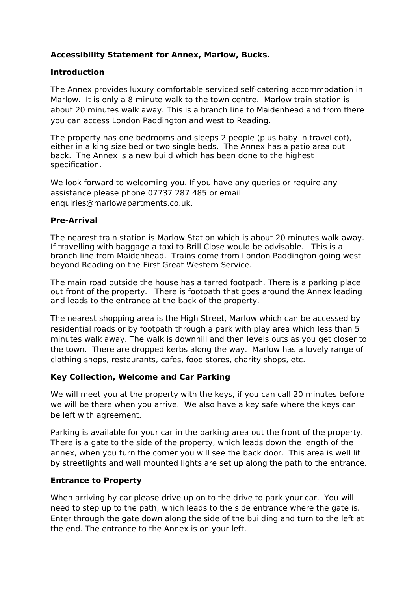# **Accessibility Statement for Annex, Marlow, Bucks.**

## **Introduction**

The Annex provides luxury comfortable serviced self-catering accommodation in Marlow. It is only a 8 minute walk to the town centre. Marlow train station is about 20 minutes walk away. This is a branch line to Maidenhead and from there you can access London Paddington and west to Reading.

The property has one bedrooms and sleeps 2 people (plus baby in travel cot), either in a king size bed or two single beds. The Annex has a patio area out back. The Annex is a new build which has been done to the highest specification.

We look forward to welcoming you. If you have any queries or require any assistance please phone 07737 287 485 or email enquiries@marlowapartments.co.uk.

### **Pre-Arrival**

The nearest train station is Marlow Station which is about 20 minutes walk away. If travelling with baggage a taxi to Brill Close would be advisable. This is a branch line from Maidenhead. Trains come from London Paddington going west beyond Reading on the First Great Western Service.

The main road outside the house has a tarred footpath. There is a parking place out front of the property. There is footpath that goes around the Annex leading and leads to the entrance at the back of the property.

The nearest shopping area is the High Street, Marlow which can be accessed by residential roads or by footpath through a park with play area which less than 5 minutes walk away. The walk is downhill and then levels outs as you get closer to the town. There are dropped kerbs along the way. Marlow has a lovely range of clothing shops, restaurants, cafes, food stores, charity shops, etc.

### **Key Collection, Welcome and Car Parking**

We will meet you at the property with the keys, if you can call 20 minutes before we will be there when you arrive. We also have a key safe where the keys can be left with agreement.

Parking is available for your car in the parking area out the front of the property. There is a gate to the side of the property, which leads down the length of the annex, when you turn the corner you will see the back door. This area is well lit by streetlights and wall mounted lights are set up along the path to the entrance.

### **Entrance to Property**

When arriving by car please drive up on to the drive to park your car. You will need to step up to the path, which leads to the side entrance where the gate is. Enter through the gate down along the side of the building and turn to the left at the end. The entrance to the Annex is on your left.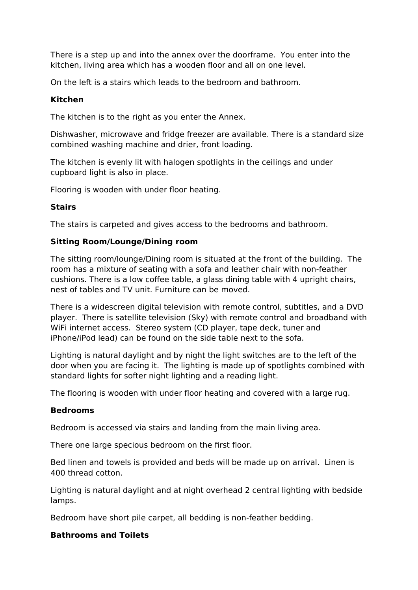There is a step up and into the annex over the doorframe. You enter into the kitchen, living area which has a wooden floor and all on one level.

On the left is a stairs which leads to the bedroom and bathroom.

### **Kitchen**

The kitchen is to the right as you enter the Annex.

Dishwasher, microwave and fridge freezer are available. There is a standard size combined washing machine and drier, front loading.

The kitchen is evenly lit with halogen spotlights in the ceilings and under cupboard light is also in place.

Flooring is wooden with under floor heating.

### **Stairs**

The stairs is carpeted and gives access to the bedrooms and bathroom.

### **Sitting Room/Lounge/Dining room**

The sitting room/lounge/Dining room is situated at the front of the building. The room has a mixture of seating with a sofa and leather chair with non-feather cushions. There is a low coffee table, a glass dining table with 4 upright chairs, nest of tables and TV unit. Furniture can be moved.

There is a widescreen digital television with remote control, subtitles, and a DVD player. There is satellite television (Sky) with remote control and broadband with WiFi internet access. Stereo system (CD player, tape deck, tuner and iPhone/iPod lead) can be found on the side table next to the sofa.

Lighting is natural daylight and by night the light switches are to the left of the door when you are facing it. The lighting is made up of spotlights combined with standard lights for softer night lighting and a reading light.

The flooring is wooden with under floor heating and covered with a large rug.

### **Bedrooms**

Bedroom is accessed via stairs and landing from the main living area.

There one large specious bedroom on the first floor.

Bed linen and towels is provided and beds will be made up on arrival. Linen is 400 thread cotton.

Lighting is natural daylight and at night overhead 2 central lighting with bedside lamps.

Bedroom have short pile carpet, all bedding is non-feather bedding.

### **Bathrooms and Toilets**